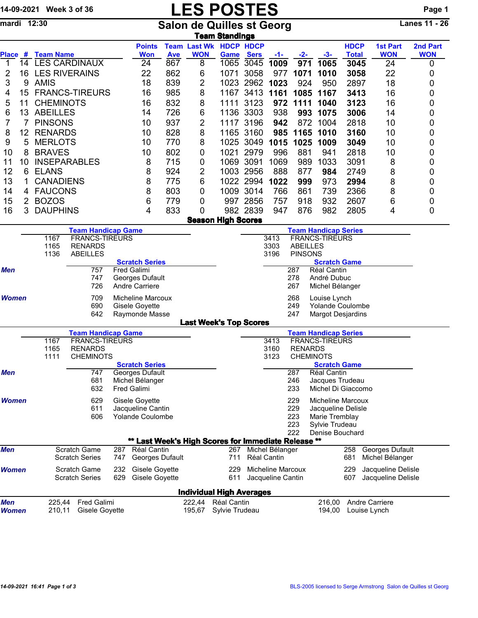## 14-09-2021 Week 3 of 36 **LES POSTES** Page 1

mardi 12:30 Salon de Quilles st Georg Lanes 11 - 26

|                                                                                   | <u>Team Standings</u>           |                                                   |                           |     |                                                     |            |                                             |           |                    |                          |                                                  |                                   |                                         |                               |                        |  |  |  |  |  |  |  |
|-----------------------------------------------------------------------------------|---------------------------------|---------------------------------------------------|---------------------------|-----|-----------------------------------------------------|------------|---------------------------------------------|-----------|--------------------|--------------------------|--------------------------------------------------|-----------------------------------|-----------------------------------------|-------------------------------|------------------------|--|--|--|--|--|--|--|
|                                                                                   |                                 | Place # Team Name                                 |                           |     | <b>Points</b><br><b>Won</b>                         | <b>Ave</b> | <b>Team Last Wk HDCP HDCP</b><br><b>WON</b> | Game      | <b>Sers</b>        | $-1-$                    | $-2-$                                            | $-3-$                             | <b>HDCP</b><br><b>Total</b>             | <b>1st Part</b><br><b>WON</b> | 2nd Part<br><b>WON</b> |  |  |  |  |  |  |  |
| 1                                                                                 |                                 |                                                   | 14 LES CARDINAUX          |     | 24                                                  | 867        | 8                                           | 1065      | 3045               | 1009                     | 971                                              | 1065                              | 3045                                    | 24                            | 0                      |  |  |  |  |  |  |  |
| 2                                                                                 |                                 | 16 LES RIVERAINS                                  |                           |     | 22                                                  | 862        | 6                                           | 1071      | 3058               | 977                      | 1071                                             | 1010                              | 3058                                    | 22                            | 0                      |  |  |  |  |  |  |  |
| 3                                                                                 | 9                               | <b>AMIS</b>                                       |                           |     | 18                                                  | 839        | 2                                           | 1023      | 2962               | 1023                     | 924                                              | 950                               | 2897                                    | 18                            | 0                      |  |  |  |  |  |  |  |
| 4                                                                                 | 15                              |                                                   | <b>FRANCS-TIREURS</b>     |     | 16                                                  | 985        | 8                                           | 1167      | 3413               | 1161                     | 1085                                             | 1167                              | 3413                                    | 16                            | 0                      |  |  |  |  |  |  |  |
| 5                                                                                 | 11                              | <b>CHEMINOTS</b>                                  |                           |     | 16                                                  | 832        | 8                                           | 1111      | 3123               | 972                      | 1111                                             | 1040                              | 3123                                    | 16                            | 0                      |  |  |  |  |  |  |  |
| 6                                                                                 | 13                              | <b>ABEILLES</b><br>14                             |                           |     | 726                                                 | 6          |                                             | 1136 3303 | 938                | 993                      | 1075                                             | 3006                              | 14                                      | 0                             |                        |  |  |  |  |  |  |  |
| 7                                                                                 | 7                               | <b>PINSONS</b><br>10                              |                           |     |                                                     | 937        | 2                                           |           | 1117 3196          | 942                      | 872                                              | 1004                              | 2818                                    | 10                            | 0                      |  |  |  |  |  |  |  |
| 8                                                                                 | 12                              | <b>RENARDS</b><br>10                              |                           |     |                                                     | 828        | 8                                           |           | 1165 3160          | 985                      | 1165                                             | 1010                              | 3160                                    | 10                            | 0                      |  |  |  |  |  |  |  |
| 9                                                                                 | 5                               | <b>MERLOTS</b>                                    |                           |     | 10                                                  | 770        | 8                                           | 1025      | 3049               | 1015                     | 1025                                             | 1009                              | 3049                                    | 10                            | 0                      |  |  |  |  |  |  |  |
| 10                                                                                | 8                               | <b>BRAVES</b>                                     |                           |     | 10                                                  | 802        | 0                                           | 1021      | 2979               | 996                      | 881                                              | 941                               | 2818                                    | 10                            | 0                      |  |  |  |  |  |  |  |
| 11                                                                                | 10                              |                                                   | <b>INSEPARABLES</b>       |     | 8                                                   | 715        | 0                                           | 1069      | 3091               | 1069                     | 989                                              | 1033                              | 3091                                    | 8                             | 0                      |  |  |  |  |  |  |  |
| 12                                                                                | 6                               | <b>ELANS</b>                                      |                           |     | 8                                                   | 924        | 2                                           |           | 1003 2956          | 888                      | 877                                              | 984                               | 2749                                    | 8                             | 0                      |  |  |  |  |  |  |  |
| 13                                                                                | 1                               | <b>CANADIENS</b>                                  |                           |     | 8                                                   | 775        | 6                                           |           | 1022 2994          | 1022                     | 999                                              | 973                               | 2994                                    | 8                             | 0                      |  |  |  |  |  |  |  |
| 14                                                                                | 4                               | <b>FAUCONS</b>                                    |                           |     | 8                                                   | 803        | 0                                           | 1009      | 3014               | 766                      | 861                                              | 739                               | 2366                                    | 8                             |                        |  |  |  |  |  |  |  |
| 15                                                                                | $\overline{2}$                  | <b>BOZOS</b>                                      |                           |     |                                                     | 779        | 0                                           |           | 997 2856           | 757                      | 918                                              | 932                               | 2607                                    | 6                             | 0                      |  |  |  |  |  |  |  |
|                                                                                   | 3                               | <b>DAUPHINS</b>                                   |                           |     | 6                                                   |            | 0                                           |           | 982 2839           |                          |                                                  | 982                               |                                         |                               | 0                      |  |  |  |  |  |  |  |
| 16                                                                                |                                 |                                                   |                           |     | 4                                                   | 833        | <b>Season High Scores</b>                   |           |                    | 947                      | 876                                              |                                   | 2805                                    | 4                             | $\mathbf 0$            |  |  |  |  |  |  |  |
|                                                                                   |                                 |                                                   | <b>Team Handicap Game</b> |     |                                                     |            |                                             |           |                    |                          |                                                  | <b>Team Handicap Series</b>       |                                         |                               |                        |  |  |  |  |  |  |  |
|                                                                                   |                                 | 1167                                              | <b>FRANCS-TIREURS</b>     |     |                                                     |            |                                             |           |                    | 3413                     |                                                  | <b>FRANCS-TIREURS</b>             |                                         |                               |                        |  |  |  |  |  |  |  |
|                                                                                   |                                 | 1165                                              | <b>RENARDS</b>            |     |                                                     |            |                                             |           |                    | 3303                     | <b>ABEILLES</b>                                  |                                   |                                         |                               |                        |  |  |  |  |  |  |  |
|                                                                                   |                                 | 1136                                              | <b>ABEILLES</b>           |     |                                                     |            |                                             |           |                    | 3196                     | <b>PINSONS</b>                                   |                                   |                                         |                               |                        |  |  |  |  |  |  |  |
| Men                                                                               |                                 |                                                   | 757                       |     | <b>Scratch Series</b>                               |            |                                             |           |                    |                          | <b>Scratch Game</b><br>287<br><b>Réal Cantin</b> |                                   |                                         |                               |                        |  |  |  |  |  |  |  |
|                                                                                   |                                 | Fred Galimi<br>747<br>Georges Dufault             |                           |     |                                                     |            |                                             |           |                    |                          | 278<br>André Dubuc                               |                                   |                                         |                               |                        |  |  |  |  |  |  |  |
|                                                                                   |                                 | 726                                               |                           |     | <b>Andre Carriere</b>                               |            |                                             |           |                    |                          | 267                                              | Michel Bélanger                   |                                         |                               |                        |  |  |  |  |  |  |  |
| <b>Women</b>                                                                      |                                 |                                                   | 709                       |     | <b>Micheline Marcoux</b>                            |            |                                             |           |                    |                          | 268                                              |                                   |                                         |                               |                        |  |  |  |  |  |  |  |
|                                                                                   |                                 | 690                                               |                           |     | Gisele Goyette                                      |            |                                             |           |                    |                          | 249                                              |                                   | Louise Lynch<br><b>Yolande Coulombe</b> |                               |                        |  |  |  |  |  |  |  |
|                                                                                   |                                 |                                                   | 642                       |     | Raymonde Masse                                      |            |                                             |           |                    |                          | 247                                              | <b>Margot Desjardins</b>          |                                         |                               |                        |  |  |  |  |  |  |  |
|                                                                                   |                                 |                                                   |                           |     |                                                     |            | <b>Last Week's Top Scores</b>               |           |                    |                          |                                                  |                                   |                                         |                               |                        |  |  |  |  |  |  |  |
|                                                                                   |                                 |                                                   | <b>Team Handicap Game</b> |     |                                                     |            |                                             |           |                    |                          |                                                  | <b>Team Handicap Series</b>       |                                         |                               |                        |  |  |  |  |  |  |  |
|                                                                                   |                                 | 1167                                              | <b>FRANCS-TIREURS</b>     |     |                                                     |            |                                             |           |                    | 3413                     |                                                  | <b>FRANCS-TIREURS</b>             |                                         |                               |                        |  |  |  |  |  |  |  |
|                                                                                   |                                 | <b>RENARDS</b><br>1165<br><b>CHEMINOTS</b>        |                           |     |                                                     |            |                                             |           |                    | 3160<br>3123             | <b>RENARDS</b><br><b>CHEMINOTS</b>               |                                   |                                         |                               |                        |  |  |  |  |  |  |  |
|                                                                                   |                                 | 1111                                              |                           |     | <b>Scratch Series</b>                               |            |                                             |           |                    |                          |                                                  | <b>Scratch Game</b>               |                                         |                               |                        |  |  |  |  |  |  |  |
| Men                                                                               |                                 |                                                   | 747                       |     | Georges Dufault                                     |            |                                             |           |                    |                          | 287                                              | Réal Cantin                       |                                         |                               |                        |  |  |  |  |  |  |  |
|                                                                                   |                                 |                                                   | 681                       |     | Michel Bélanger                                     |            |                                             |           |                    |                          | 246                                              | Jacques Trudeau                   |                                         |                               |                        |  |  |  |  |  |  |  |
|                                                                                   |                                 |                                                   | 632                       |     | Fred Galimi                                         |            |                                             |           |                    |                          | 233                                              | Michel Di Giaccomo                |                                         |                               |                        |  |  |  |  |  |  |  |
| Women                                                                             |                                 |                                                   | 629                       |     | Gisele Goyette                                      |            |                                             |           |                    |                          | 229                                              | <b>Micheline Marcoux</b>          |                                         |                               |                        |  |  |  |  |  |  |  |
|                                                                                   |                                 |                                                   | 611                       |     | Jacqueline Cantin                                   |            |                                             |           |                    |                          | 229                                              | Jacqueline Delisle                |                                         |                               |                        |  |  |  |  |  |  |  |
|                                                                                   |                                 | 606<br><b>Yolande Coulombe</b>                    |                           |     |                                                     |            |                                             |           |                    |                          | 223                                              | Marie Tremblay                    |                                         |                               |                        |  |  |  |  |  |  |  |
|                                                                                   |                                 |                                                   |                           |     |                                                     |            |                                             |           |                    |                          | 223<br>222                                       | Sylvie Trudeau<br>Denise Bouchard |                                         |                               |                        |  |  |  |  |  |  |  |
|                                                                                   |                                 |                                                   |                           |     | ** Last Week's High Scores for Immediate Release ** |            |                                             |           |                    |                          |                                                  |                                   |                                         |                               |                        |  |  |  |  |  |  |  |
| Men                                                                               |                                 | <b>Scratch Game</b>                               |                           |     | 287 Réal Cantin                                     |            |                                             |           |                    | 267 Michel Bélanger      |                                                  |                                   | 258                                     | Georges Dufault               |                        |  |  |  |  |  |  |  |
|                                                                                   |                                 |                                                   | <b>Scratch Series</b>     | 747 | Georges Dufault                                     |            |                                             | 711       |                    | Réal Cantin              |                                                  |                                   | 681                                     | Michel Bélanger               |                        |  |  |  |  |  |  |  |
| Women                                                                             |                                 | <b>Scratch Game</b><br>232                        |                           |     | Gisele Goyette                                      |            |                                             | 229       |                    | <b>Micheline Marcoux</b> |                                                  |                                   | 229                                     | Jacqueline Delisle            |                        |  |  |  |  |  |  |  |
| <b>Scratch Series</b><br>629<br>Gisele Goyette<br>611<br>Jacqueline Cantin<br>607 |                                 |                                                   |                           |     |                                                     |            |                                             |           | Jacqueline Delisle |                          |                                                  |                                   |                                         |                               |                        |  |  |  |  |  |  |  |
|                                                                                   | <u>Individual High Averages</u> |                                                   |                           |     |                                                     |            |                                             |           |                    |                          |                                                  |                                   |                                         |                               |                        |  |  |  |  |  |  |  |
| Men                                                                               |                                 |                                                   |                           |     |                                                     |            | 222,44                                      |           |                    |                          |                                                  | 216,00                            |                                         | Andre Carriere                |                        |  |  |  |  |  |  |  |
| Women                                                                             |                                 | Fred Galimi<br>225,44<br>210,11<br>Gisele Goyette |                           |     |                                                     |            | Réal Cantin<br>Sylvie Trudeau<br>195,67     |           |                    |                          |                                                  |                                   |                                         | Louise Lynch                  |                        |  |  |  |  |  |  |  |
|                                                                                   |                                 |                                                   |                           |     |                                                     |            |                                             |           |                    |                          |                                                  | 194,00                            |                                         |                               |                        |  |  |  |  |  |  |  |
|                                                                                   |                                 |                                                   |                           |     |                                                     |            |                                             |           |                    |                          |                                                  |                                   |                                         |                               |                        |  |  |  |  |  |  |  |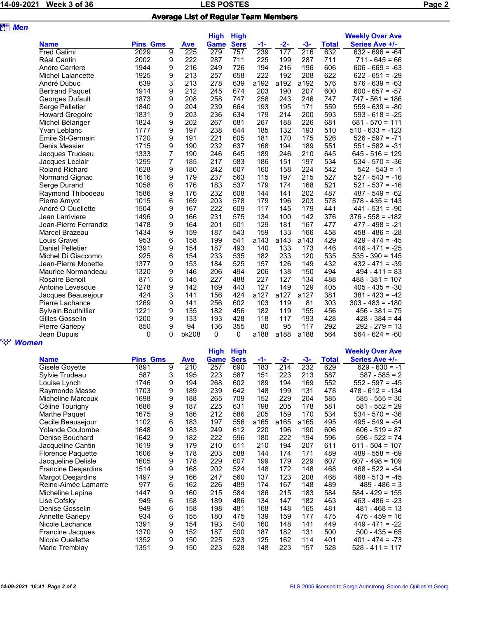## LES POSTES POSTES PAGE 3 OF 36 DECEMBER 3 OF 36 Page 2 Average List of Regular Team Members

| <b>att Men</b> |                         |                 |                |            |             |             |       |       |                  |              |                        |
|----------------|-------------------------|-----------------|----------------|------------|-------------|-------------|-------|-------|------------------|--------------|------------------------|
|                |                         |                 |                |            | <b>High</b> | <b>High</b> |       |       |                  |              | <b>Weekly Over Ave</b> |
|                | <b>Name</b>             | <b>Pins Gms</b> |                | <b>Ave</b> | <b>Game</b> | <b>Sers</b> | $-1-$ | $-2-$ | $-3-$            | <b>Total</b> | Series Ave +/-         |
|                | Fred Galimi             | 2029            | $\overline{9}$ | 225        | 279         | 757         | 239   | 177   | $\overline{216}$ | 632          | $632 - 696 = -64$      |
|                | Réal Cantin             | 2002            | 9              | 222        | 287         | 711         | 225   | 199   | 287              | 711          | $711 - 645 = 66$       |
|                | <b>Andre Carriere</b>   | 1944            | 9              | 216        | 249         | 726         | 194   | 216   | 196              | 606          | $606 - 669 = -63$      |
|                | Michel Lalancette       | 1925            | 9              | 213        | 257         | 658         | 222   | 192   | 208              | 622          | $622 - 651 = -29$      |
|                | André Dubuc             | 639             | 3              | 213        | 278         | 639         | a192  | a192  | a192             | 576          | $576 - 639 = -63$      |
|                | <b>Bertrand Paquet</b>  | 1914            | 9              | 212        | 245         | 674         | 203   | 190   | 207              | 600          | $600 - 657 = -57$      |
|                | Georges Dufault         | 1873            | 9              | 208        | 258         | 747         | 258   | 243   | 246              | 747          | $747 - 561 = 186$      |
|                | Serge Pelletier         | 1840            | 9              | 204        | 239         | 664         | 193   | 195   | 171              | 559          | $559 - 639 = -80$      |
|                | <b>Howard Gregoire</b>  | 1831            | 9              | 203        | 236         | 634         | 179   | 214   | 200              | 593          | $593 - 618 = -25$      |
|                | Michel Bélanger         | 1824            | 9              | 202        | 267         | 681         | 267   | 188   | 226              | 681          | $681 - 570 = 111$      |
|                | Yvan Leblanc            | 1777            | 9              | 197        | 238         | 644         | 185   | 132   | 193              | 510          | $510 - 633 = -123$     |
|                | Emile St-Germain        | 1720            | 9              | 191        | 221         | 605         | 181   | 170   | 175              | 526          | $526 - 597 = -71$      |
|                | Denis Messier           | 1715            | 9              | 190        | 232         | 637         | 168   | 194   | 189              | 551          | $551 - 582 = -31$      |
|                | Jacques Trudeau         | 1333            | 7              | 190        | 246         | 645         | 189   | 246   | 210              | 645          | $645 - 516 = 129$      |
|                | Jacques Leclair         | 1295            | 7              | 185        | 217         | 583         | 186   | 151   | 197              | 534          | $534 - 570 = -36$      |
|                | <b>Roland Richard</b>   | 1628            | 9              | 180        | 242         | 607         | 160   | 158   | 224              | 542          | $542 - 543 = -1$       |
|                | Normand Gignac          | 1616            | 9              | 179        | 237         | 563         | 115   | 197   | 215              | 527          | $527 - 543 = -16$      |
|                | Serge Durand            | 1058            | 6              | 176        | 183         | 537         | 179   | 174   | 168              | 521          | $521 - 537 = -16$      |
|                | Raymond Thibodeau       | 1586            | 9              | 176        | 232         | 608         | 144   | 141   | 202              | 487          | $487 - 549 = -62$      |
|                | Pierre Amyot            | 1015            | 6              | 169        | 203         | 578         | 179   | 196   | 203              | 578          | $578 - 435 = 143$      |
|                | André O Ouellette       | 1504            | 9              | 167        | 222         | 609         | 117   | 145   | 179              | 441          | $441 - 531 = -90$      |
|                | Jean Larriviere         | 1496            | 9              | 166        | 231         | 575         | 134   | 100   | 142              | 376          | $376 - 558 = -182$     |
|                | Jean-Pierre Ferrandiz   | 1478            | 9              | 164        | 201         | 501         | 129   | 181   | 167              | 477          | $477 - 498 = -21$      |
|                | Marcel Brazeau          | 1434            | 9              | 159        | 187         | 543         | 159   | 133   | 166              | 458          | $458 - 486 = -28$      |
|                | Louis Gravel            | 953             | 6              | 158        | 199         | 541         | a143  | a143  | a143             | 429          | $429 - 474 = -45$      |
|                | <b>Daniel Pelletier</b> | 1391            | 9              | 154        | 187         | 493         | 140   | 133   | 173              | 446          | $446 - 471 = -25$      |
|                | Michel Di Giaccomo      | 925             | 6              | 154        | 233         | 535         | 182   | 233   | 120              | 535          | $535 - 390 = 145$      |
|                | Jean-Pierre Monette     | 1377            | 9              | 153        | 184         | 525         | 157   | 126   | 149              | 432          | $432 - 471 = -39$      |
|                | Maurice Normandeau      | 1320            | 9              | 146        | 206         | 494         | 206   | 138   | 150              | 494          | $494 - 411 = 83$       |
|                | <b>Rosaire Benoit</b>   | 871             | 6              | 145        | 227         | 488         | 227   | 127   | 134              | 488          | $488 - 381 = 107$      |
|                | Antoine Levesque        | 1278            | 9              | 142        | 169         | 443         | 127   | 149   | 129              | 405          | $405 - 435 = -30$      |
|                | Jacques Beausejour      | 424             | 3              | 141        | 156         | 424         | a127  | a127  | a127             | 381          | $381 - 423 = -42$      |
|                | Pierre Lachance         | 1269            | 9              | 141        | 256         | 602         | 103   | 119   | 81               | 303          | $303 - 483 = -180$     |
|                | Sylvain Bouthillier     | 1221            | 9              | 135        | 182         | 456         | 182   | 119   | 155              | 456          | $456 - 381 = 75$       |
|                | Gilles Gosselin         | 1200            | 9              | 133        | 193         | 428         | 118   | 117   | 193              | 428          | $428 - 384 = 44$       |
|                | Pierre Gariepy          | 850             | 9              | 94         | 136         | 355         | 80    | 95    | 117              | 292          | $292 - 279 = 13$       |
|                | Jean Dupuis             | 0               | 0              | bk208      | 0           | 0           | a188  | a188  | a188             | 564          | $564 - 624 = -60$      |
| <b>Women</b>   |                         |                 |                |            |             |             |       |       |                  |              |                        |

|                          |                 |   |     | <b>High</b> | <b>High</b> |      |       |       |              | <b>Weekly Over Ave</b> |
|--------------------------|-----------------|---|-----|-------------|-------------|------|-------|-------|--------------|------------------------|
| <b>Name</b>              | <b>Pins Gms</b> |   | Ave | Game        | <b>Sers</b> | -1-  | $-2-$ | $-3-$ | <b>Total</b> | Series Ave +/-         |
| Gisele Goyette           | 1891            | 9 | 210 | 257         | 690         | 183  | 214   | 232   | 629          | $629 - 630 = -1$       |
| Sylvie Trudeau           | 587             | 3 | 195 | 223         | 587         | 151  | 223   | 213   | 587          | $587 - 585 = 2$        |
| Louise Lynch             | 1746            | 9 | 194 | 268         | 602         | 189  | 194   | 169   | 552          | $552 - 597 = -45$      |
| Raymonde Masse           | 1703            | 9 | 189 | 239         | 642         | 148  | 199   | 131   | 478          | $478 - 612 = -134$     |
| Micheline Marcoux        | 1698            | 9 | 188 | 265         | 709         | 152  | 229   | 204   | 585          | $585 - 555 = 30$       |
| Céline Tourigny          | 1686            | 9 | 187 | 225         | 631         | 198  | 205   | 178   | 581          | $581 - 552 = 29$       |
| Marthe Paguet            | 1675            | 9 | 186 | 212         | 586         | 205  | 159   | 170   | 534          | $534 - 570 = -36$      |
| Cecile Beausejour        | 1102            | 6 | 183 | 197         | 556         | a165 | a165  | a165  | 495          | $495 - 549 = -54$      |
| <b>Yolande Coulombe</b>  | 1648            | 9 | 183 | 249         | 612         | 220  | 196   | 190   | 606          | $606 - 519 = 87$       |
| Denise Bouchard          | 1642            | 9 | 182 | 222         | 596         | 180  | 222   | 194   | 596          | $596 - 522 = 74$       |
| Jacqueline Cantin        | 1619            | 9 | 179 | 210         | 611         | 210  | 194   | 207   | 611          | $611 - 504 = 107$      |
| <b>Florence Paquette</b> | 1606            | 9 | 178 | 203         | 588         | 144  | 174   | 171   | 489          | $489 - 558 = -69$      |
| Jacqueline Delisle       | 1605            | 9 | 178 | 229         | 607         | 199  | 179   | 229   | 607          | $607 - 498 = 109$      |
| Francine Desjardins      | 1514            | 9 | 168 | 202         | 524         | 148  | 172   | 148   | 468          | $468 - 522 = -54$      |
| <b>Margot Desjardins</b> | 1497            | 9 | 166 | 247         | 560         | 137  | 123   | 208   | 468          | $468 - 513 = -45$      |
| Reine-Aimée Lamarre      | 977             | 6 | 162 | 226         | 489         | 174  | 167   | 148   | 489          | $489 - 486 = 3$        |
| Micheline Lepine         | 1447            | 9 | 160 | 215         | 584         | 186  | 215   | 183   | 584          | $584 - 429 = 155$      |
| Lise Cofsky              | 949             | 6 | 158 | 189         | 486         | 134  | 147   | 182   | 463          | $463 - 486 = -23$      |
| Denise Gosselin          | 949             | 6 | 158 | 198         | 481         | 168  | 148   | 165   | 481          | $481 - 468 = 13$       |
| <b>Annette Gariepy</b>   | 934             | 6 | 155 | 180         | 475         | 139  | 159   | 177   | 475          | $475 - 459 = 16$       |
| Nicole Lachance          | 1391            | 9 | 154 | 193         | 540         | 160  | 148   | 141   | 449          | $449 - 471 =$<br>$-22$ |
| <b>Francine Jacques</b>  | 1370            | 9 | 152 | 187         | 500         | 187  | 182   | 131   | 500          | $500 - 435 = 65$       |
| Nicole Ouellette         | 1352            | 9 | 150 | 225         | 523         | 125  | 162   | 114   | 401          | $401 - 474 = -73$      |
| Marie Tremblay           | 1351            | 9 | 150 | 223         | 528         | 148  | 223   | 157   | 528          | $528 - 411 = 117$      |